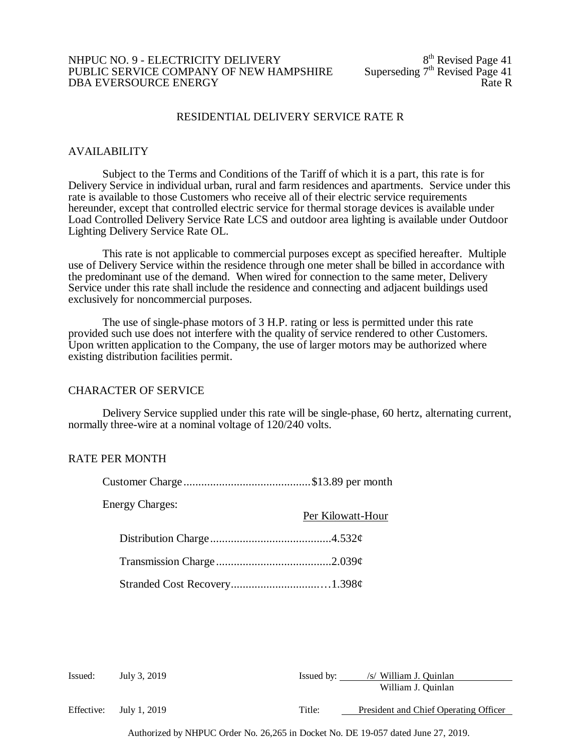# NHPUC NO. 9 - ELECTRICITY DELIVERY<br>
PUBLIC SERVICE COMPANY OF NEW HAMPSHIRE Superseding  $7<sup>th</sup>$  Revised Page 41 PUBLIC SERVICE COMPANY OF NEW HAMPSHIRE Superseding 7<sup>th</sup> Revised Page 41<br>DBA EVERSOURCE ENERGY DBA EVERSOURCE ENERGY

# RESIDENTIAL DELIVERY SERVICE RATE R

### AVAILABILITY

Subject to the Terms and Conditions of the Tariff of which it is a part, this rate is for Delivery Service in individual urban, rural and farm residences and apartments. Service under this rate is available to those Customers who receive all of their electric service requirements hereunder, except that controlled electric service for thermal storage devices is available under Load Controlled Delivery Service Rate LCS and outdoor area lighting is available under Outdoor Lighting Delivery Service Rate OL.

This rate is not applicable to commercial purposes except as specified hereafter. Multiple use of Delivery Service within the residence through one meter shall be billed in accordance with the predominant use of the demand. When wired for connection to the same meter, Delivery Service under this rate shall include the residence and connecting and adjacent buildings used exclusively for noncommercial purposes.

The use of single-phase motors of 3 H.P. rating or less is permitted under this rate provided such use does not interfere with the quality of service rendered to other Customers. Upon written application to the Company, the use of larger motors may be authorized where existing distribution facilities permit.

### CHARACTER OF SERVICE

Delivery Service supplied under this rate will be single-phase, 60 hertz, alternating current, normally three-wire at a nominal voltage of 120/240 volts.

# RATE PER MONTH

| <b>Energy Charges:</b> | Per Kilowatt-Hour |
|------------------------|-------------------|
|                        |                   |
|                        |                   |
|                        |                   |

| Issued:    | July 3, 2019 | Issued by: | /s/ William J. Quinlan                |
|------------|--------------|------------|---------------------------------------|
|            |              |            | William J. Quinlan                    |
| Effective: | July 1, 2019 | Title:     | President and Chief Operating Officer |
|            |              |            |                                       |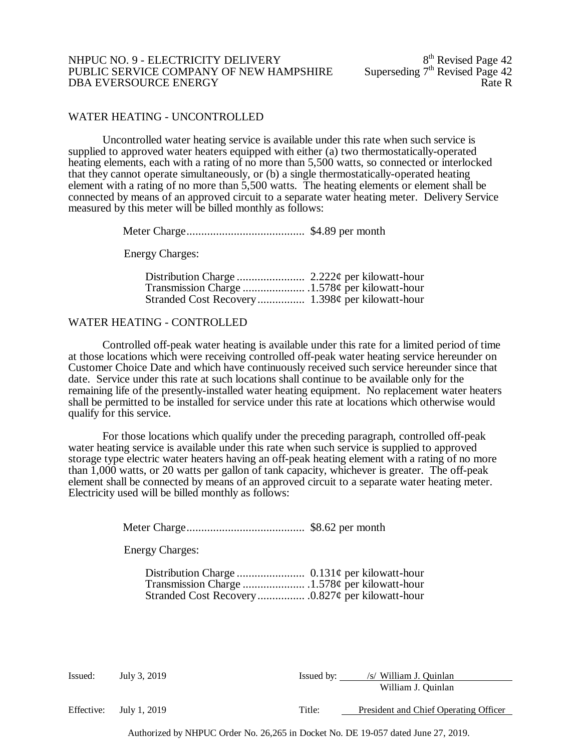#### NHPUC NO. 9 - ELECTRICITY DELIVERY<br>
PUBLIC SERVICE COMPANY OF NEW HAMPSHIRE Superseding 7<sup>th</sup> Revised Page 42 PUBLIC SERVICE COMPANY OF NEW HAMPSHIRE Superseding  $7<sup>th</sup>$  Revised Page 42<br>DBA EVERSOURCE ENERGY DBA EVERSOURCE ENERGY

## WATER HEATING - UNCONTROLLED

Uncontrolled water heating service is available under this rate when such service is supplied to approved water heaters equipped with either (a) two thermostatically-operated heating elements, each with a rating of no more than 5,500 watts, so connected or interlocked that they cannot operate simultaneously, or (b) a single thermostatically-operated heating element with a rating of no more than 5,500 watts. The heating elements or element shall be connected by means of an approved circuit to a separate water heating meter. Delivery Service measured by this meter will be billed monthly as follows:

Meter Charge........................................ \$4.89 per month

Energy Charges:

#### WATER HEATING - CONTROLLED

Controlled off-peak water heating is available under this rate for a limited period of time at those locations which were receiving controlled off-peak water heating service hereunder on Customer Choice Date and which have continuously received such service hereunder since that date. Service under this rate at such locations shall continue to be available only for the remaining life of the presently-installed water heating equipment. No replacement water heaters shall be permitted to be installed for service under this rate at locations which otherwise would qualify for this service.

For those locations which qualify under the preceding paragraph, controlled off-peak water heating service is available under this rate when such service is supplied to approved storage type electric water heaters having an off-peak heating element with a rating of no more than 1,000 watts, or 20 watts per gallon of tank capacity, whichever is greater. The off-peak element shall be connected by means of an approved circuit to a separate water heating meter. Electricity used will be billed monthly as follows:

Meter Charge........................................ \$8.62 per month

Energy Charges:

| Issued:    | July 3, 2019 | Issued by: | /s/ William J. Quinlan<br>William J. Quinlan |
|------------|--------------|------------|----------------------------------------------|
| Effective: | July 1, 2019 | Title:     | President and Chief Operating Officer        |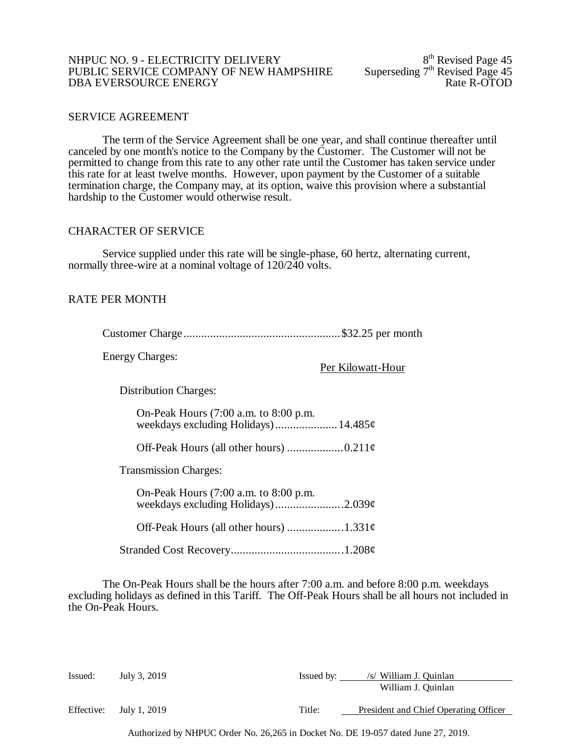#### NHPUC NO. 9 - ELECTRICITY DELIVERY<br>
PUBLIC SERVICE COMPANY OF NEW HAMPSHIRE Superseding 7<sup>th</sup> Revised Page 45 PUBLIC SERVICE COMPANY OF NEW HAMPSHIRE Superseding  $7<sup>th</sup>$  Revised Page 45<br>DBA EVERSOURCE ENERGY Rate R-OTOD DBA EVERSOURCE ENERGY

## SERVICE AGREEMENT

The term of the Service Agreement shall be one year, and shall continue thereafter until canceled by one month's notice to the Company by the Customer. The Customer will not be permitted to change from this rate to any other rate until the Customer has taken service under this rate for at least twelve months. However, upon payment by the Customer of a suitable termination charge, the Company may, at its option, waive this provision where a substantial hardship to the Customer would otherwise result.

#### CHARACTER OF SERVICE

Service supplied under this rate will be single-phase, 60 hertz, alternating current, normally three-wire at a nominal voltage of 120/240 volts.

# RATE PER MONTH

Energy Charges:

Per Kilowatt-Hour

Distribution Charges:

On-Peak Hours (7:00 a.m. to 8:00 p.m. weekdays excluding Holidays).....................14.485¢

Off-Peak Hours (all other hours)  $\dots\dots\dots\dots\dots\dots\dots$ 

Transmission Charges:

On-Peak Hours (7:00 a.m. to 8:00 p.m. weekdays excluding Holidays)........................2.039¢ Off-Peak Hours (all other hours) ...................1.331¢

Stranded Cost Recovery......................................1.208¢

The On-Peak Hours shall be the hours after 7:00 a.m. and before 8:00 p.m. weekdays excluding holidays as defined in this Tariff. The Off-Peak Hours shall be all hours not included in the On-Peak Hours.

| Issued: | July 3, 2019            | Issued by: | /s/ William J. Quinlan                |
|---------|-------------------------|------------|---------------------------------------|
|         |                         |            | William J. Quinlan                    |
|         | Effective: July 1, 2019 | Title:     | President and Chief Operating Officer |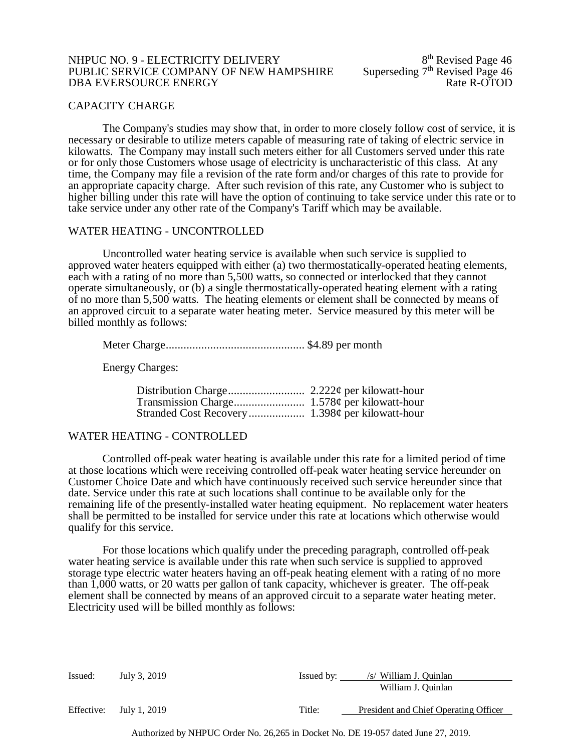#### NHPUC NO. 9 - ELECTRICITY DELIVERY<br>PUBLIC SERVICE COMPANY OF NEW HAMPSHIRE Superseding 7<sup>th</sup> Revised Page 46 PUBLIC SERVICE COMPANY OF NEW HAMPSHIRE Superseding 7<sup>th</sup> Revised Page 46<br>DBA EVERSOURCE ENERGY Rate R-OTOD DBA EVERSOURCE ENERGY

#### CAPACITY CHARGE

The Company's studies may show that, in order to more closely follow cost of service, it is necessary or desirable to utilize meters capable of measuring rate of taking of electric service in kilowatts. The Company may install such meters either for all Customers served under this rate or for only those Customers whose usage of electricity is uncharacteristic of this class. At any time, the Company may file a revision of the rate form and/or charges of this rate to provide for an appropriate capacity charge. After such revision of this rate, any Customer who is subject to higher billing under this rate will have the option of continuing to take service under this rate or to take service under any other rate of the Company's Tariff which may be available.

#### WATER HEATING - UNCONTROLLED

Uncontrolled water heating service is available when such service is supplied to approved water heaters equipped with either (a) two thermostatically-operated heating elements, each with a rating of no more than 5,500 watts, so connected or interlocked that they cannot operate simultaneously, or (b) a single thermostatically-operated heating element with a rating of no more than 5,500 watts. The heating elements or element shall be connected by means of an approved circuit to a separate water heating meter. Service measured by this meter will be billed monthly as follows:

Meter Charge............................................... \$4.89 per month

Energy Charges:

### WATER HEATING - CONTROLLED

Controlled off-peak water heating is available under this rate for a limited period of time at those locations which were receiving controlled off-peak water heating service hereunder on Customer Choice Date and which have continuously received such service hereunder since that date. Service under this rate at such locations shall continue to be available only for the remaining life of the presently-installed water heating equipment. No replacement water heaters shall be permitted to be installed for service under this rate at locations which otherwise would qualify for this service.

For those locations which qualify under the preceding paragraph, controlled off-peak water heating service is available under this rate when such service is supplied to approved storage type electric water heaters having an off-peak heating element with a rating of no more than 1,000 watts, or 20 watts per gallon of tank capacity, whichever is greater. The off-peak element shall be connected by means of an approved circuit to a separate water heating meter. Electricity used will be billed monthly as follows:

| Issued:    | July 3, 2019 | Issued by: | /s/ William J. Ouinlan                |
|------------|--------------|------------|---------------------------------------|
|            |              |            | William J. Quinlan                    |
| Effective: | July 1, 2019 | Title:     | President and Chief Operating Officer |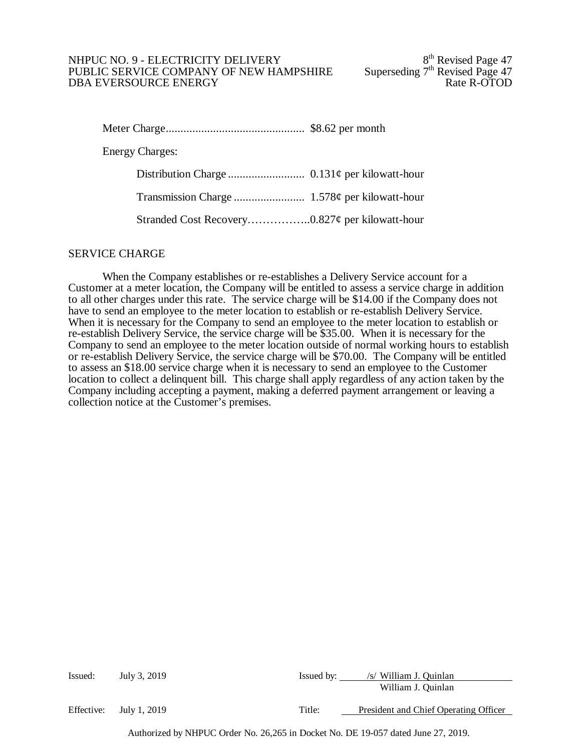## NHPUC NO. 9 - ELECTRICITY DELIVERY<br>
PUBLIC SERVICE COMPANY OF NEW HAMPSHIRE Superseding 7<sup>th</sup> Revised Page 47 PUBLIC SERVICE COMPANY OF NEW HAMPSHIRE Superseding  $7<sup>th</sup>$  Revised Page 47 DBA EVERSOURCE ENERGY DBA EVERSOURCE ENERGY

| <b>Energy Charges:</b> |  |
|------------------------|--|
|                        |  |
|                        |  |
|                        |  |

#### SERVICE CHARGE

When the Company establishes or re-establishes a Delivery Service account for a Customer at a meter location, the Company will be entitled to assess a service charge in addition to all other charges under this rate. The service charge will be \$14.00 if the Company does not have to send an employee to the meter location to establish or re-establish Delivery Service. When it is necessary for the Company to send an employee to the meter location to establish or re-establish Delivery Service, the service charge will be \$35.00. When it is necessary for the Company to send an employee to the meter location outside of normal working hours to establish or re-establish Delivery Service, the service charge will be \$70.00. The Company will be entitled to assess an \$18.00 service charge when it is necessary to send an employee to the Customer location to collect a delinquent bill. This charge shall apply regardless of any action taken by the Company including accepting a payment, making a deferred payment arrangement or leaving a collection notice at the Customer's premises.

| Issued:    | July 3, 2019 | Issued by: | /s/ William J. Quinlan                |
|------------|--------------|------------|---------------------------------------|
|            |              |            | William J. Quinlan                    |
| Effective: | July 1, 2019 | Title:     | President and Chief Operating Officer |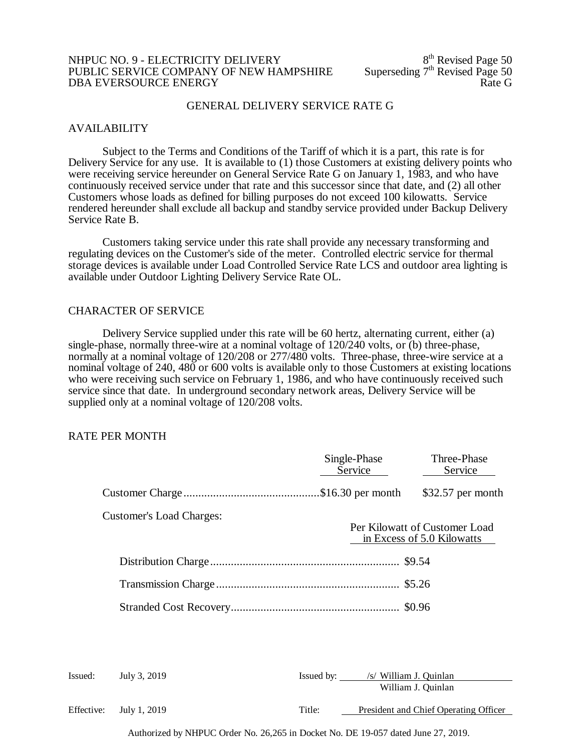#### NHPUC NO. 9 - ELECTRICITY DELIVERY<br>
PUBLIC SERVICE COMPANY OF NEW HAMPSHIRE Superseding  $7<sup>th</sup>$  Revised Page 50 PUBLIC SERVICE COMPANY OF NEW HAMPSHIRE Superseding  $7<sup>th</sup>$  Revised Page 50<br>DBA EVERSOURCE ENERGY DBA EVERSOURCE ENERGY

#### GENERAL DELIVERY SERVICE RATE G

#### AVAILABILITY

Subject to the Terms and Conditions of the Tariff of which it is a part, this rate is for Delivery Service for any use. It is available to (1) those Customers at existing delivery points who were receiving service hereunder on General Service Rate G on January 1, 1983, and who have continuously received service under that rate and this successor since that date, and (2) all other Customers whose loads as defined for billing purposes do not exceed 100 kilowatts. Service rendered hereunder shall exclude all backup and standby service provided under Backup Delivery Service Rate B.

Customers taking service under this rate shall provide any necessary transforming and regulating devices on the Customer's side of the meter. Controlled electric service for thermal storage devices is available under Load Controlled Service Rate LCS and outdoor area lighting is available under Outdoor Lighting Delivery Service Rate OL.

#### CHARACTER OF SERVICE

Delivery Service supplied under this rate will be 60 hertz, alternating current, either (a) single-phase, normally three-wire at a nominal voltage of 120/240 volts, or (b) three-phase, normally at a nominal voltage of 120/208 or 277/480 volts. Three-phase, three-wire service at a nominal voltage of 240, 480 or 600 volts is available only to those Customers at existing locations who were receiving such service on February 1, 1986, and who have continuously received such service since that date. In underground secondary network areas, Delivery Service will be supplied only at a nominal voltage of 120/208 volts.

#### RATE PER MONTH

|         |                                 | Single-Phase<br>Service           | Three-Phase<br>Service                                      |
|---------|---------------------------------|-----------------------------------|-------------------------------------------------------------|
|         |                                 |                                   | $$32.57$ per month                                          |
|         | <b>Customer's Load Charges:</b> |                                   | Per Kilowatt of Customer Load<br>in Excess of 5.0 Kilowatts |
|         |                                 |                                   |                                                             |
|         |                                 |                                   |                                                             |
|         |                                 |                                   |                                                             |
|         |                                 |                                   |                                                             |
|         |                                 |                                   |                                                             |
| Issued: | July 3, 2019                    | Issued by: /s/ William J. Quinlan |                                                             |
|         |                                 |                                   | William J. Quinlan                                          |

Effective: July 1, 2019 Title: President and Chief Operating Officer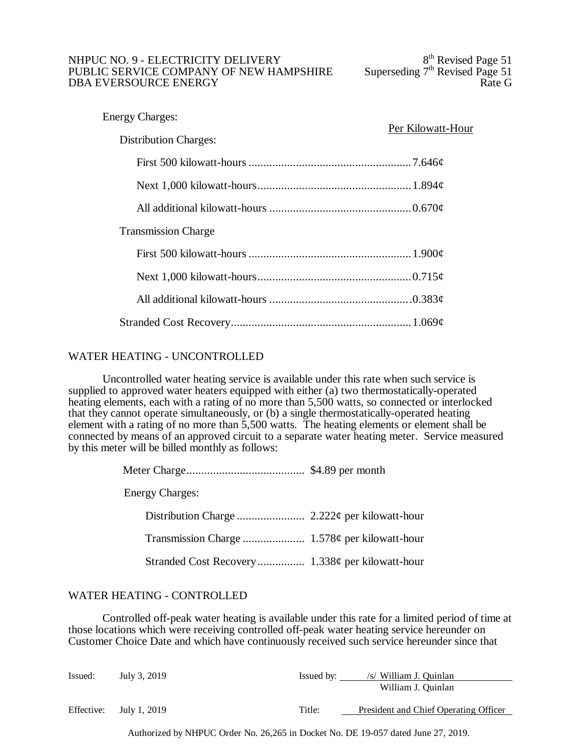## NHPUC NO. 9 - ELECTRICITY DELIVERY<br>
PUBLIC SERVICE COMPANY OF NEW HAMPSHIRE Superseding  $7<sup>th</sup>$  Revised Page 51 PUBLIC SERVICE COMPANY OF NEW HAMPSHIRE Superseding  $7<sup>th</sup>$  Revised Page 51<br>DBA EVERSOURCE ENERGY DBA EVERSOURCE ENERGY

| <b>Energy Charges:</b>       | Per Kilowatt-Hour |
|------------------------------|-------------------|
| <b>Distribution Charges:</b> |                   |
|                              |                   |
|                              |                   |
|                              |                   |
| <b>Transmission Charge</b>   |                   |
|                              |                   |
|                              |                   |
|                              |                   |
|                              |                   |

# WATER HEATING - UNCONTROLLED

Uncontrolled water heating service is available under this rate when such service is supplied to approved water heaters equipped with either (a) two thermostatically-operated heating elements, each with a rating of no more than 5,500 watts, so connected or interlocked that they cannot operate simultaneously, or (b) a single thermostatically-operated heating element with a rating of no more than 5,500 watts. The heating elements or element shall be connected by means of an approved circuit to a separate water heating meter. Service measured by this meter will be billed monthly as follows:

| <b>Energy Charges:</b> |  |
|------------------------|--|
|                        |  |
|                        |  |
|                        |  |

# WATER HEATING - CONTROLLED

Controlled off-peak water heating is available under this rate for a limited period of time at those locations which were receiving controlled off-peak water heating service hereunder on Customer Choice Date and which have continuously received such service hereunder since that

| Issued:    | July 3, 2019 | Issued by: | /s/ William J. Quinlan                |
|------------|--------------|------------|---------------------------------------|
|            |              |            | William J. Quinlan                    |
| Effective: | July 1, 2019 | Title:     | President and Chief Operating Officer |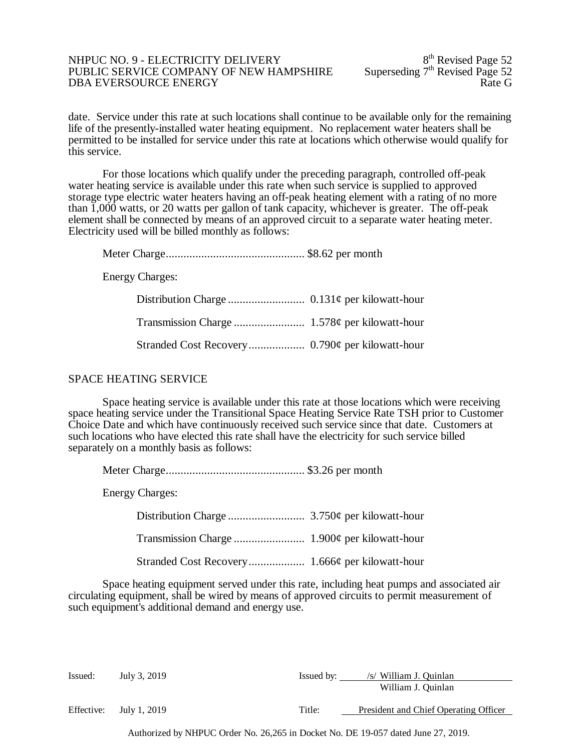#### NHPUC NO. 9 - ELECTRICITY DELIVERY<br>
PUBLIC SERVICE COMPANY OF NEW HAMPSHIRE Superseding  $7<sup>th</sup>$  Revised Page 52 PUBLIC SERVICE COMPANY OF NEW HAMPSHIRE Superseding  $7<sup>th</sup>$  Revised Page 52<br>DBA EVERSOURCE ENERGY DBA EVERSOURCE ENERGY

date. Service under this rate at such locations shall continue to be available only for the remaining life of the presently-installed water heating equipment. No replacement water heaters shall be permitted to be installed for service under this rate at locations which otherwise would qualify for this service.

For those locations which qualify under the preceding paragraph, controlled off-peak water heating service is available under this rate when such service is supplied to approved storage type electric water heaters having an off-peak heating element with a rating of no more than 1,000 watts, or 20 watts per gallon of tank capacity, whichever is greater. The off-peak element shall be connected by means of an approved circuit to a separate water heating meter. Electricity used will be billed monthly as follows:

Meter Charge............................................... \$8.62 per month

Energy Charges:

# SPACE HEATING SERVICE

Space heating service is available under this rate at those locations which were receiving space heating service under the Transitional Space Heating Service Rate TSH prior to Customer Choice Date and which have continuously received such service since that date. Customers at such locations who have elected this rate shall have the electricity for such service billed separately on a monthly basis as follows:

| <b>Energy Charges:</b> |  |
|------------------------|--|
|                        |  |
|                        |  |
|                        |  |

Space heating equipment served under this rate, including heat pumps and associated air circulating equipment, shall be wired by means of approved circuits to permit measurement of such equipment's additional demand and energy use.

| Issued:    | July 3, 2019 | Issued by: | /s/ William J. Quinlan                |
|------------|--------------|------------|---------------------------------------|
|            |              |            | William J. Quinlan                    |
| Effective: | July 1, 2019 | Title:     | President and Chief Operating Officer |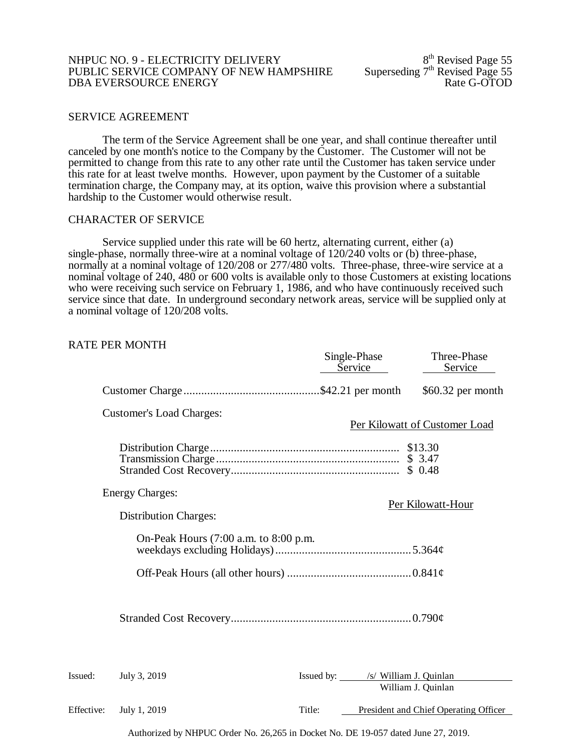#### NHPUC NO. 9 - ELECTRICITY DELIVERY<br>
PUBLIC SERVICE COMPANY OF NEW HAMPSHIRE Superseding  $7<sup>th</sup>$  Revised Page 55 PUBLIC SERVICE COMPANY OF NEW HAMPSHIRE Superseding  $7<sup>th</sup>$  Revised Page 55 DBA EVERSOURCE ENERGY DBA EVERSOURCE ENERGY

#### SERVICE AGREEMENT

The term of the Service Agreement shall be one year, and shall continue thereafter until canceled by one month's notice to the Company by the Customer. The Customer will not be permitted to change from this rate to any other rate until the Customer has taken service under this rate for at least twelve months. However, upon payment by the Customer of a suitable termination charge, the Company may, at its option, waive this provision where a substantial hardship to the Customer would otherwise result.

## CHARACTER OF SERVICE

Service supplied under this rate will be 60 hertz, alternating current, either (a) single-phase, normally three-wire at a nominal voltage of 120/240 volts or (b) three-phase, normally at a nominal voltage of 120/208 or 277/480 volts. Three-phase, three-wire service at a nominal voltage of 240, 480 or 600 volts is available only to those Customers at existing locations who were receiving such service on February 1, 1986, and who have continuously received such service since that date. In underground secondary network areas, service will be supplied only at a nominal voltage of 120/208 volts.

## RATE PER MONTH

|            |                                       | Single-Phase<br>Service           | Three-Phase<br>Service                |
|------------|---------------------------------------|-----------------------------------|---------------------------------------|
|            |                                       |                                   | $$60.32$ per month                    |
|            | Customer's Load Charges:              |                                   | Per Kilowatt of Customer Load         |
|            |                                       |                                   |                                       |
|            | <b>Energy Charges:</b>                |                                   | Per Kilowatt-Hour                     |
|            | <b>Distribution Charges:</b>          |                                   |                                       |
|            | On-Peak Hours (7:00 a.m. to 8:00 p.m. |                                   |                                       |
|            |                                       |                                   |                                       |
|            |                                       |                                   |                                       |
| Issued:    | July 3, 2019                          | Issued by: /s/ William J. Quinlan | William J. Quinlan                    |
| Effective: | July 1, 2019                          | Title:                            | President and Chief Operating Officer |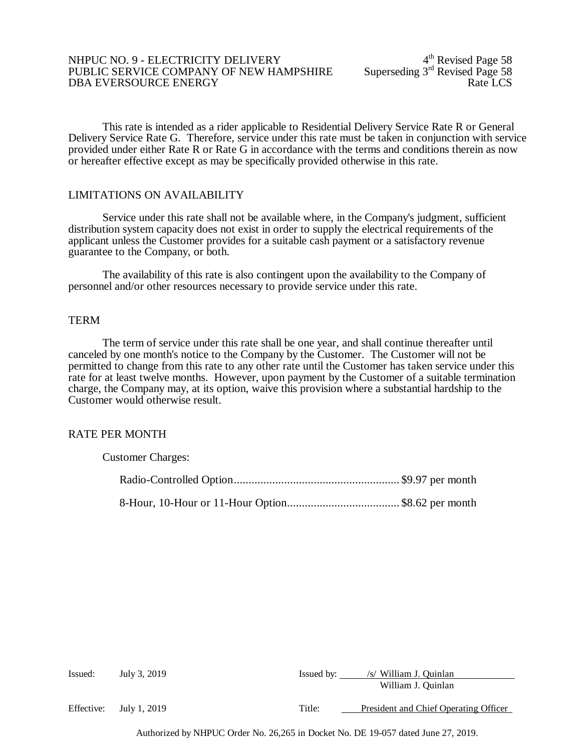#### NHPUC NO. 9 - ELECTRICITY DELIVERY<br>PUBLIC SERVICE COMPANY OF NEW HAMPSHIRE Superseding 3<sup>rd</sup> Revised Page 58 PUBLIC SERVICE COMPANY OF NEW HAMPSHIRE Superseding 3<sup>rd</sup> Revised Page 58<br>DBA EVERSOURCE ENERGY DBA EVERSOURCE ENERGY

This rate is intended as a rider applicable to Residential Delivery Service Rate R or General Delivery Service Rate G. Therefore, service under this rate must be taken in conjunction with service provided under either Rate R or Rate G in accordance with the terms and conditions therein as now or hereafter effective except as may be specifically provided otherwise in this rate.

### LIMITATIONS ON AVAILABILITY

Service under this rate shall not be available where, in the Company's judgment, sufficient distribution system capacity does not exist in order to supply the electrical requirements of the applicant unless the Customer provides for a suitable cash payment or a satisfactory revenue guarantee to the Company, or both.

The availability of this rate is also contingent upon the availability to the Company of personnel and/or other resources necessary to provide service under this rate.

## **TERM**

The term of service under this rate shall be one year, and shall continue thereafter until canceled by one month's notice to the Company by the Customer. The Customer will not be permitted to change from this rate to any other rate until the Customer has taken service under this rate for at least twelve months. However, upon payment by the Customer of a suitable termination charge, the Company may, at its option, waive this provision where a substantial hardship to the Customer would otherwise result.

#### RATE PER MONTH

| <b>Customer Charges:</b> |  |
|--------------------------|--|
|                          |  |
|                          |  |

| Issued: | July 3, 2019            | Issued by: | /s/ William J. Quinlan                |
|---------|-------------------------|------------|---------------------------------------|
|         |                         |            | William J. Quinlan                    |
|         | Effective: July 1, 2019 | Title:     | President and Chief Operating Officer |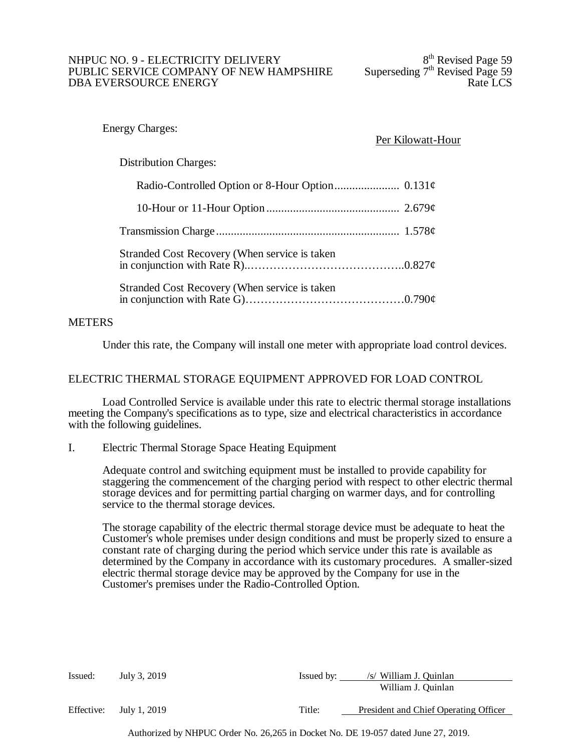### NHPUC NO. 9 - ELECTRICITY DELIVERY<br>
PUBLIC SERVICE COMPANY OF NEW HAMPSHIRE Superseding  $7<sup>th</sup>$  Revised Page 59 PUBLIC SERVICE COMPANY OF NEW HAMPSHIRE Superseding 7<sup>th</sup> Revised Page 59<br>DBA EVERSOURCE ENERGY DBA EVERSOURCE ENERGY

## Energy Charges:

# Per Kilowatt-Hour

# Distribution Charges:

| Stranded Cost Recovery (When service is taken |  |
|-----------------------------------------------|--|
| Stranded Cost Recovery (When service is taken |  |

# **METERS**

Under this rate, the Company will install one meter with appropriate load control devices.

# ELECTRIC THERMAL STORAGE EQUIPMENT APPROVED FOR LOAD CONTROL

Load Controlled Service is available under this rate to electric thermal storage installations meeting the Company's specifications as to type, size and electrical characteristics in accordance with the following guidelines.

I. Electric Thermal Storage Space Heating Equipment

Adequate control and switching equipment must be installed to provide capability for staggering the commencement of the charging period with respect to other electric thermal storage devices and for permitting partial charging on warmer days, and for controlling service to the thermal storage devices.

The storage capability of the electric thermal storage device must be adequate to heat the Customer's whole premises under design conditions and must be properly sized to ensure a constant rate of charging during the period which service under this rate is available as determined by the Company in accordance with its customary procedures. A smaller-sized electric thermal storage device may be approved by the Company for use in the Customer's premises under the Radio-Controlled Option.

| Issued:    | July 3, 2019 | Issued by: | /s/ William J. Quinlan                |
|------------|--------------|------------|---------------------------------------|
|            |              |            | William J. Quinlan                    |
| Effective: | July 1, 2019 | Title:     | President and Chief Operating Officer |
|            |              |            |                                       |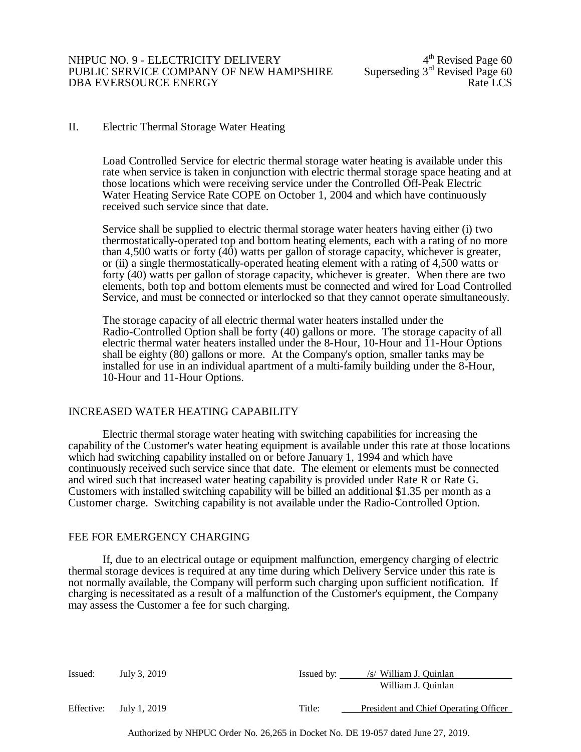## II. Electric Thermal Storage Water Heating

Load Controlled Service for electric thermal storage water heating is available under this rate when service is taken in conjunction with electric thermal storage space heating and at those locations which were receiving service under the Controlled Off-Peak Electric Water Heating Service Rate COPE on October 1, 2004 and which have continuously received such service since that date.

Service shall be supplied to electric thermal storage water heaters having either (i) two thermostatically-operated top and bottom heating elements, each with a rating of no more than 4,500 watts or forty (40) watts per gallon of storage capacity, whichever is greater, or (ii) a single thermostatically-operated heating element with a rating of 4,500 watts or forty (40) watts per gallon of storage capacity, whichever is greater. When there are two elements, both top and bottom elements must be connected and wired for Load Controlled Service, and must be connected or interlocked so that they cannot operate simultaneously.

The storage capacity of all electric thermal water heaters installed under the Radio-Controlled Option shall be forty (40) gallons or more. The storage capacity of all electric thermal water heaters installed under the 8-Hour, 10-Hour and 11-Hour Options shall be eighty (80) gallons or more. At the Company's option, smaller tanks may be installed for use in an individual apartment of a multi-family building under the 8-Hour, 10-Hour and 11-Hour Options.

### INCREASED WATER HEATING CAPABILITY

Electric thermal storage water heating with switching capabilities for increasing the capability of the Customer's water heating equipment is available under this rate at those locations which had switching capability installed on or before January 1, 1994 and which have continuously received such service since that date. The element or elements must be connected and wired such that increased water heating capability is provided under Rate R or Rate G. Customers with installed switching capability will be billed an additional \$1.35 per month as a Customer charge. Switching capability is not available under the Radio-Controlled Option.

### FEE FOR EMERGENCY CHARGING

If, due to an electrical outage or equipment malfunction, emergency charging of electric thermal storage devices is required at any time during which Delivery Service under this rate is not normally available, the Company will perform such charging upon sufficient notification. If charging is necessitated as a result of a malfunction of the Customer's equipment, the Company may assess the Customer a fee for such charging.

| Issued:    | July 3, 2019 | Issued by: | /s/ William J. Quinlan<br>William J. Quinlan |
|------------|--------------|------------|----------------------------------------------|
| Effective: | July 1, 2019 | Title:     | President and Chief Operating Officer        |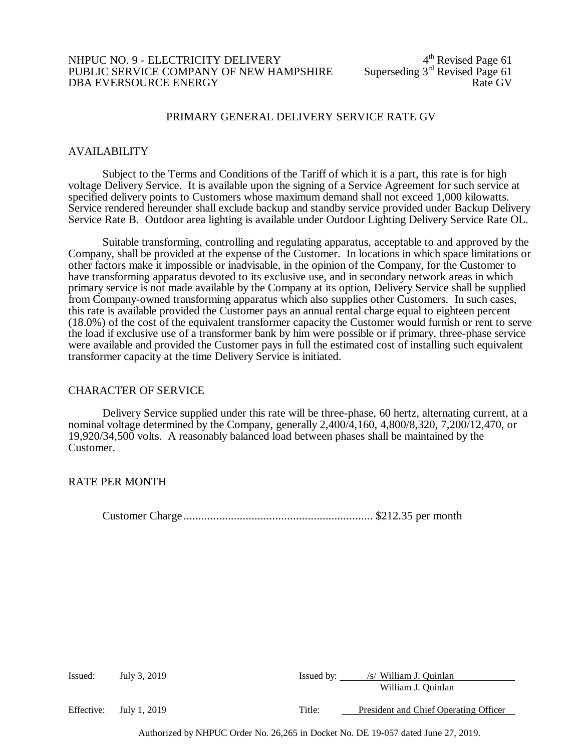### NHPUC NO. 9 - ELECTRICITY DELIVERY<br>PUBLIC SERVICE COMPANY OF NEW HAMPSHIRE Superseding 3<sup>rd</sup> Revised Page 61 PUBLIC SERVICE COMPANY OF NEW HAMPSHIRE Superseding  $3<sup>rd</sup>$  Revised Page 61<br>DBA EVERSOURCE ENERGY DBA EVERSOURCE ENERGY

### PRIMARY GENERAL DELIVERY SERVICE RATE GV

#### AVAILABILITY

Subject to the Terms and Conditions of the Tariff of which it is a part, this rate is for high voltage Delivery Service. It is available upon the signing of a Service Agreement for such service at specified delivery points to Customers whose maximum demand shall not exceed 1,000 kilowatts. Service rendered hereunder shall exclude backup and standby service provided under Backup Delivery Service Rate B. Outdoor area lighting is available under Outdoor Lighting Delivery Service Rate OL.

Suitable transforming, controlling and regulating apparatus, acceptable to and approved by the Company, shall be provided at the expense of the Customer. In locations in which space limitations or other factors make it impossible or inadvisable, in the opinion of the Company, for the Customer to have transforming apparatus devoted to its exclusive use, and in secondary network areas in which primary service is not made available by the Company at its option, Delivery Service shall be supplied from Company-owned transforming apparatus which also supplies other Customers. In such cases, this rate is available provided the Customer pays an annual rental charge equal to eighteen percent (18.0%) of the cost of the equivalent transformer capacity the Customer would furnish or rent to serve the load if exclusive use of a transformer bank by him were possible or if primary, three-phase service were available and provided the Customer pays in full the estimated cost of installing such equivalent transformer capacity at the time Delivery Service is initiated.

#### CHARACTER OF SERVICE

Delivery Service supplied under this rate will be three-phase, 60 hertz, alternating current, at a nominal voltage determined by the Company, generally 2,400/4,160, 4,800/8,320, 7,200/12,470, or 19,920/34,500 volts. A reasonably balanced load between phases shall be maintained by the Customer.

#### RATE PER MONTH

Customer Charge ................................................................ \$212.35 per month

| Issued:    | July 3, 2019 | Issued by: | /s/ William J. Quinlan                |
|------------|--------------|------------|---------------------------------------|
|            |              |            | William J. Ouinlan                    |
| Effective: | July 1, 2019 | Title:     | President and Chief Operating Officer |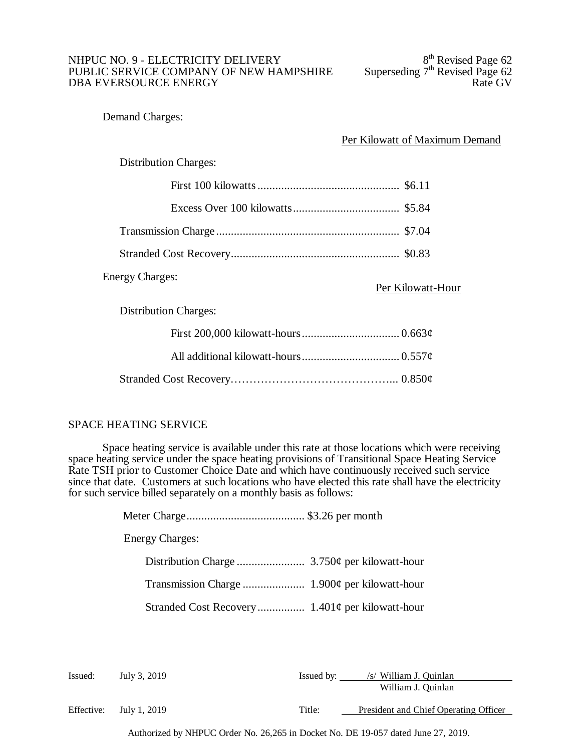# NHPUC NO. 9 - ELECTRICITY DELIVERY<br>
PUBLIC SERVICE COMPANY OF NEW HAMPSHIRE Superseding 7<sup>th</sup> Revised Page 62 PUBLIC SERVICE COMPANY OF NEW HAMPSHIRE Superseding  $7<sup>th</sup>$  Revised Page 62<br>DBA EVERSOURCE ENERGY DBA EVERSOURCE ENERGY

Demand Charges:

Per Kilowatt of Maximum Demand

Distribution Charges:

# Energy Charges:

Per Kilowatt-Hour

Distribution Charges:

# SPACE HEATING SERVICE

Space heating service is available under this rate at those locations which were receiving space heating service under the space heating provisions of Transitional Space Heating Service Rate TSH prior to Customer Choice Date and which have continuously received such service since that date. Customers at such locations who have elected this rate shall have the electricity for such service billed separately on a monthly basis as follows:

> Meter Charge........................................ \$3.26 per month Energy Charges: Distribution Charge ....................... 3.750¢ per kilowatt-hour Transmission Charge ..................... 1.900¢ per kilowatt-hour Stranded Cost Recovery................ 1.401¢ per kilowatt-hour

| Issued:    | July 3, 2019 | Issued by: | /s/ William J. Quinlan                |
|------------|--------------|------------|---------------------------------------|
|            |              |            | William J. Quinlan                    |
| Effective: | July 1, 2019 | Title:     | President and Chief Operating Officer |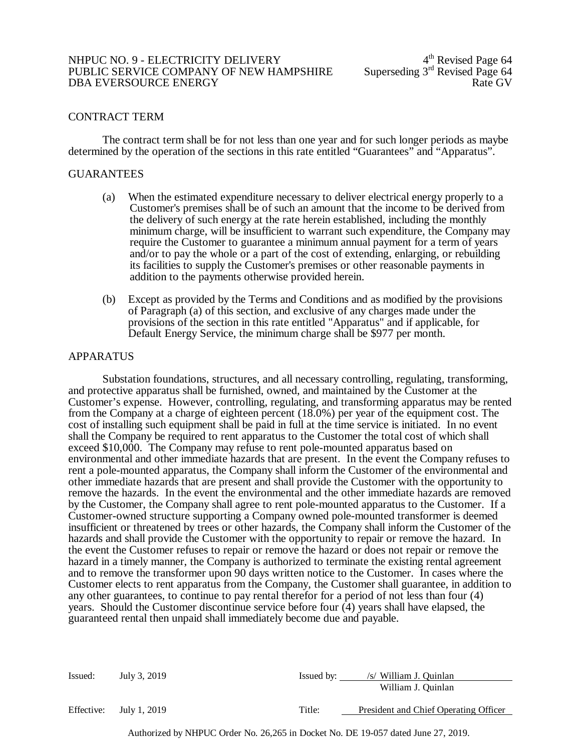#### NHPUC NO. 9 - ELECTRICITY DELIVERY<br>
PUBLIC SERVICE COMPANY OF NEW HAMPSHIRE Superseding  $3<sup>rd</sup>$  Revised Page 64 PUBLIC SERVICE COMPANY OF NEW HAMPSHIRE Superseding  $3<sup>rd</sup>$  Revised Page 64<br>DBA EVERSOURCE ENERGY DBA EVERSOURCE ENERGY

# CONTRACT TERM

The contract term shall be for not less than one year and for such longer periods as maybe determined by the operation of the sections in this rate entitled "Guarantees" and "Apparatus".

#### GUARANTEES

- (a) When the estimated expenditure necessary to deliver electrical energy properly to a Customer's premises shall be of such an amount that the income to be derived from the delivery of such energy at the rate herein established, including the monthly minimum charge, will be insufficient to warrant such expenditure, the Company may require the Customer to guarantee a minimum annual payment for a term of years and/or to pay the whole or a part of the cost of extending, enlarging, or rebuilding its facilities to supply the Customer's premises or other reasonable payments in addition to the payments otherwise provided herein.
- (b) Except as provided by the Terms and Conditions and as modified by the provisions of Paragraph (a) of this section, and exclusive of any charges made under the provisions of the section in this rate entitled "Apparatus" and if applicable, for Default Energy Service, the minimum charge shall be \$977 per month.

### APPARATUS

Substation foundations, structures, and all necessary controlling, regulating, transforming, and protective apparatus shall be furnished, owned, and maintained by the Customer at the Customer's expense. However, controlling, regulating, and transforming apparatus may be rented from the Company at a charge of eighteen percent (18.0%) per year of the equipment cost. The cost of installing such equipment shall be paid in full at the time service is initiated. In no event shall the Company be required to rent apparatus to the Customer the total cost of which shall exceed \$10,000. The Company may refuse to rent pole-mounted apparatus based on environmental and other immediate hazards that are present. In the event the Company refuses to rent a pole-mounted apparatus, the Company shall inform the Customer of the environmental and other immediate hazards that are present and shall provide the Customer with the opportunity to remove the hazards. In the event the environmental and the other immediate hazards are removed by the Customer, the Company shall agree to rent pole-mounted apparatus to the Customer. If a Customer-owned structure supporting a Company owned pole-mounted transformer is deemed insufficient or threatened by trees or other hazards, the Company shall inform the Customer of the hazards and shall provide the Customer with the opportunity to repair or remove the hazard. In the event the Customer refuses to repair or remove the hazard or does not repair or remove the hazard in a timely manner, the Company is authorized to terminate the existing rental agreement and to remove the transformer upon 90 days written notice to the Customer. In cases where the Customer elects to rent apparatus from the Company, the Customer shall guarantee, in addition to any other guarantees, to continue to pay rental therefor for a period of not less than four (4) years. Should the Customer discontinue service before four (4) years shall have elapsed, the guaranteed rental then unpaid shall immediately become due and payable.

| Issued:    | July 3, 2019 | Issued by: | /s/ William J. Quinlan                |
|------------|--------------|------------|---------------------------------------|
|            |              |            | William J. Quinlan                    |
| Effective: | July 1, 2019 | Title:     | President and Chief Operating Officer |
|            |              |            |                                       |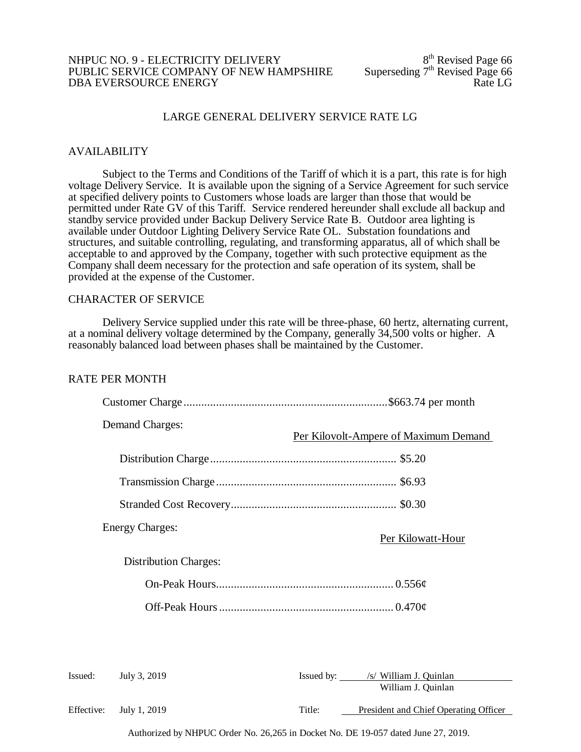#### NHPUC NO. 9 - ELECTRICITY DELIVERY<br>
PUBLIC SERVICE COMPANY OF NEW HAMPSHIRE Superseding  $7<sup>th</sup>$  Revised Page 66 PUBLIC SERVICE COMPANY OF NEW HAMPSHIRE Superseding 7<sup>th</sup> Revised Page 66<br>DBA EVERSOURCE ENERGY DBA EVERSOURCE ENERGY

# LARGE GENERAL DELIVERY SERVICE RATE LG

### AVAILABILITY

Subject to the Terms and Conditions of the Tariff of which it is a part, this rate is for high voltage Delivery Service. It is available upon the signing of a Service Agreement for such service at specified delivery points to Customers whose loads are larger than those that would be permitted under Rate GV of this Tariff. Service rendered hereunder shall exclude all backup and standby service provided under Backup Delivery Service Rate B. Outdoor area lighting is available under Outdoor Lighting Delivery Service Rate OL. Substation foundations and structures, and suitable controlling, regulating, and transforming apparatus, all of which shall be acceptable to and approved by the Company, together with such protective equipment as the Company shall deem necessary for the protection and safe operation of its system, shall be provided at the expense of the Customer.

# CHARACTER OF SERVICE

Delivery Service supplied under this rate will be three-phase, 60 hertz, alternating current, at a nominal delivery voltage determined by the Company, generally 34,500 volts or higher. A reasonably balanced load between phases shall be maintained by the Customer.

#### RATE PER MONTH

|            | <b>Demand Charges:</b>       |        | Per Kilovolt-Ampere of Maximum Demand                   |
|------------|------------------------------|--------|---------------------------------------------------------|
|            |                              |        |                                                         |
|            |                              |        |                                                         |
|            |                              |        |                                                         |
|            | <b>Energy Charges:</b>       |        | Per Kilowatt-Hour                                       |
|            | <b>Distribution Charges:</b> |        |                                                         |
|            |                              |        |                                                         |
|            |                              |        |                                                         |
|            |                              |        |                                                         |
| Issued:    | July 3, 2019                 |        | Issued by: /s/ William J. Quinlan<br>William J. Quinlan |
| Effective: | July 1, 2019                 | Title: | President and Chief Operating Officer                   |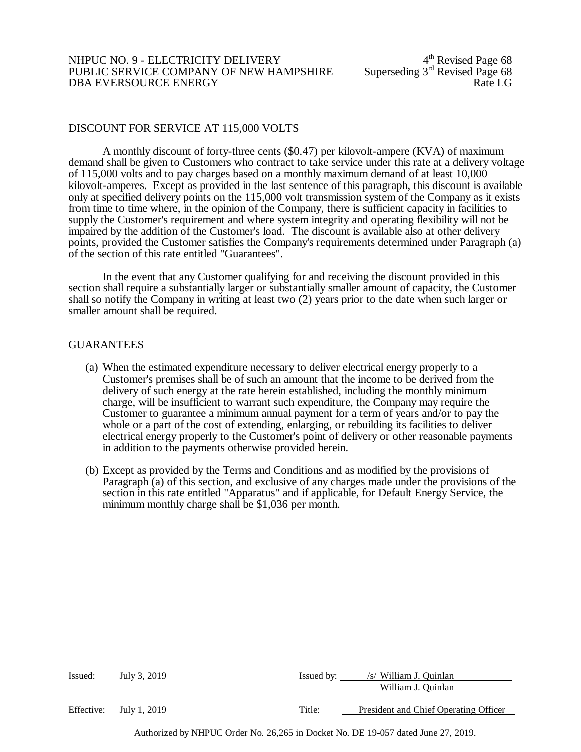#### NHPUC NO. 9 - ELECTRICITY DELIVERY<br>PUBLIC SERVICE COMPANY OF NEW HAMPSHIRE Superseding 3<sup>rd</sup> Revised Page 68 PUBLIC SERVICE COMPANY OF NEW HAMPSHIRE Superseding 3rd Revised Page 68<br>DBA EVERSOURCE ENERGY DBA EVERSOURCE ENERGY

## DISCOUNT FOR SERVICE AT 115,000 VOLTS

A monthly discount of forty-three cents (\$0.47) per kilovolt-ampere (KVA) of maximum demand shall be given to Customers who contract to take service under this rate at a delivery voltage of 115,000 volts and to pay charges based on a monthly maximum demand of at least 10,000 kilovolt-amperes. Except as provided in the last sentence of this paragraph, this discount is available only at specified delivery points on the 115,000 volt transmission system of the Company as it exists from time to time where, in the opinion of the Company, there is sufficient capacity in facilities to supply the Customer's requirement and where system integrity and operating flexibility will not be impaired by the addition of the Customer's load. The discount is available also at other delivery points, provided the Customer satisfies the Company's requirements determined under Paragraph (a) of the section of this rate entitled "Guarantees".

In the event that any Customer qualifying for and receiving the discount provided in this section shall require a substantially larger or substantially smaller amount of capacity, the Customer shall so notify the Company in writing at least two (2) years prior to the date when such larger or smaller amount shall be required.

### GUARANTEES

- (a) When the estimated expenditure necessary to deliver electrical energy properly to a Customer's premises shall be of such an amount that the income to be derived from the delivery of such energy at the rate herein established, including the monthly minimum charge, will be insufficient to warrant such expenditure, the Company may require the Customer to guarantee a minimum annual payment for a term of years and/or to pay the whole or a part of the cost of extending, enlarging, or rebuilding its facilities to deliver electrical energy properly to the Customer's point of delivery or other reasonable payments in addition to the payments otherwise provided herein.
- (b) Except as provided by the Terms and Conditions and as modified by the provisions of Paragraph (a) of this section, and exclusive of any charges made under the provisions of the section in this rate entitled "Apparatus" and if applicable, for Default Energy Service, the minimum monthly charge shall be \$1,036 per month.

| Issued:    | July 3, 2019 | Issued by: | /s/ William J. Quinlan<br>William J. Quinlan |
|------------|--------------|------------|----------------------------------------------|
| Effective: | July 1, 2019 | Title:     | President and Chief Operating Officer        |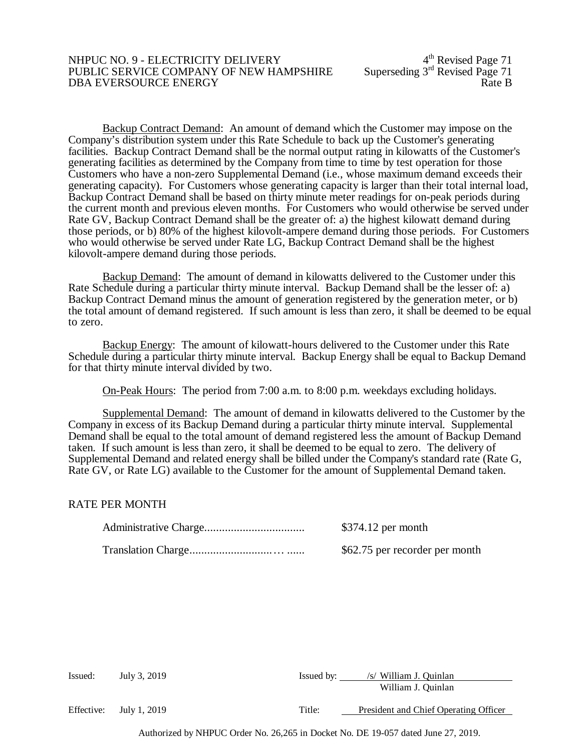#### NHPUC NO. 9 - ELECTRICITY DELIVERY<br>PUBLIC SERVICE COMPANY OF NEW HAMPSHIRE Superseding 3<sup>rd</sup> Revised Page 71 PUBLIC SERVICE COMPANY OF NEW HAMPSHIRE Superseding 3<sup>rd</sup> Revised Page 71<br>DBA EVERSOURCE ENERGY DBA EVERSOURCE ENERGY

Backup Contract Demand: An amount of demand which the Customer may impose on the Company's distribution system under this Rate Schedule to back up the Customer's generating facilities. Backup Contract Demand shall be the normal output rating in kilowatts of the Customer's generating facilities as determined by the Company from time to time by test operation for those Customers who have a non-zero Supplemental Demand (i.e., whose maximum demand exceeds their generating capacity). For Customers whose generating capacity is larger than their total internal load, Backup Contract Demand shall be based on thirty minute meter readings for on-peak periods during the current month and previous eleven months. For Customers who would otherwise be served under Rate GV, Backup Contract Demand shall be the greater of: a) the highest kilowatt demand during those periods, or b) 80% of the highest kilovolt-ampere demand during those periods. For Customers who would otherwise be served under Rate LG, Backup Contract Demand shall be the highest kilovolt-ampere demand during those periods.

Backup Demand: The amount of demand in kilowatts delivered to the Customer under this Rate Schedule during a particular thirty minute interval. Backup Demand shall be the lesser of: a) Backup Contract Demand minus the amount of generation registered by the generation meter, or b) the total amount of demand registered. If such amount is less than zero, it shall be deemed to be equal to zero.

Backup Energy: The amount of kilowatt-hours delivered to the Customer under this Rate Schedule during a particular thirty minute interval. Backup Energy shall be equal to Backup Demand for that thirty minute interval divided by two.

On-Peak Hours: The period from 7:00 a.m. to 8:00 p.m. weekdays excluding holidays.

Supplemental Demand: The amount of demand in kilowatts delivered to the Customer by the Company in excess of its Backup Demand during a particular thirty minute interval. Supplemental Demand shall be equal to the total amount of demand registered less the amount of Backup Demand taken. If such amount is less than zero, it shall be deemed to be equal to zero. The delivery of Supplemental Demand and related energy shall be billed under the Company's standard rate (Rate G, Rate GV, or Rate LG) available to the Customer for the amount of Supplemental Demand taken.

### RATE PER MONTH

| $$374.12$ per month            |
|--------------------------------|
| \$62.75 per recorder per month |

| Issued:    | July 3, 2019 | Issued by: | /s/ William J. Quinlan                |
|------------|--------------|------------|---------------------------------------|
|            |              |            | William J. Quinlan                    |
| Effective: | July 1, 2019 | Title:     | President and Chief Operating Officer |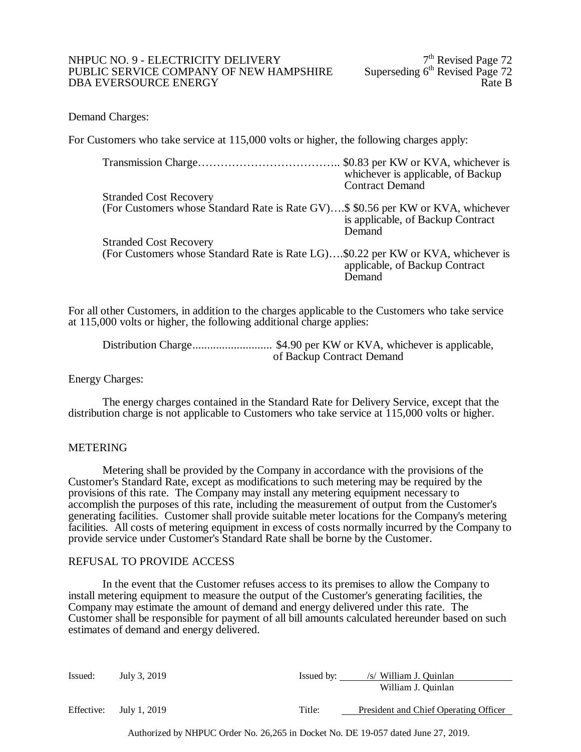#### NHPUC NO. 9 - ELECTRICITY DELIVERY<br>
PUBLIC SERVICE COMPANY OF NEW HAMPSHIRE Superseding 6<sup>th</sup> Revised Page 72 PUBLIC SERVICE COMPANY OF NEW HAMPSHIRE Superseding 6<sup>th</sup> Revised Page 72<br>DBA EVERSOURCE ENERGY DBA EVERSOURCE ENERGY

Demand Charges:

For Customers who take service at 115,000 volts or higher, the following charges apply:

| whichever is applicable, of Backup                                               |
|----------------------------------------------------------------------------------|
| <b>Contract Demand</b>                                                           |
|                                                                                  |
| (For Customers whose Standard Rate is Rate GV)\$ \$0.56 per KW or KVA, whichever |
| is applicable, of Backup Contract                                                |
| Demand                                                                           |
|                                                                                  |
| (For Customers whose Standard Rate is Rate LG)\$0.22 per KW or KVA, whichever is |
| applicable, of Backup Contract                                                   |
| Demand                                                                           |
|                                                                                  |

For all other Customers, in addition to the charges applicable to the Customers who take service at 115,000 volts or higher, the following additional charge applies:

Distribution Charge........................... \$4.90 per KW or KVA, whichever is applicable, of Backup Contract Demand

Energy Charges:

The energy charges contained in the Standard Rate for Delivery Service, except that the distribution charge is not applicable to Customers who take service at 115,000 volts or higher.

### METERING

Metering shall be provided by the Company in accordance with the provisions of the Customer's Standard Rate, except as modifications to such metering may be required by the provisions of this rate. The Company may install any metering equipment necessary to accomplish the purposes of this rate, including the measurement of output from the Customer's generating facilities. Customer shall provide suitable meter locations for the Company's metering facilities. All costs of metering equipment in excess of costs normally incurred by the Company to provide service under Customer's Standard Rate shall be borne by the Customer.

### REFUSAL TO PROVIDE ACCESS

In the event that the Customer refuses access to its premises to allow the Company to install metering equipment to measure the output of the Customer's generating facilities, the Company may estimate the amount of demand and energy delivered under this rate. The Customer shall be responsible for payment of all bill amounts calculated hereunder based on such estimates of demand and energy delivered.

| Issued:    | July 3, 2019 | Issued by: | /s/ William J. Quinlan                |
|------------|--------------|------------|---------------------------------------|
|            |              |            | William J. Quinlan                    |
| Effective: | July 1, 2019 | Title:     | President and Chief Operating Officer |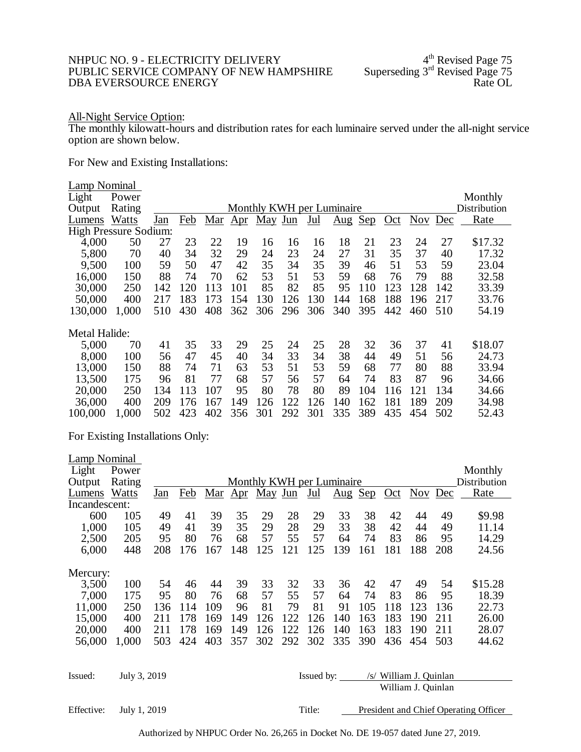# NHPUC NO. 9 - ELECTRICITY DELIVERY 4<sup>th</sup> Revised Page 75<br>PUBLIC SERVICE COMPANY OF NEW HAMPSHIRE Superseding 3<sup>rd</sup> Revised Page 75 PUBLIC SERVICE COMPANY OF NEW HAMPSHIRE Superseding 3rd Revised Page 75<br>DBA EVERSOURCE ENERGY Rate OL DBA EVERSOURCE ENERGY

#### All-Night Service Option:

The monthly kilowatt-hours and distribution rates for each luminaire served under the all-night service option are shown below.

For New and Existing Installations:

| <b>Lamp Nominal</b><br>Light<br>Output | Power<br>Rating |            |     |     |              |         |     | Monthly KWH per Luminaire |                                 |     |     |         |     | Monthly<br>Distribution |
|----------------------------------------|-----------------|------------|-----|-----|--------------|---------|-----|---------------------------|---------------------------------|-----|-----|---------|-----|-------------------------|
| Lumens                                 | Watts           | <u>Jan</u> | Feb | Mar | $_{\rm Apr}$ | May Jun |     | Jul                       | $\frac{\text{Aug}}{\text{Aug}}$ | Sep | Oct | Nov Dec |     | Rate                    |
| <b>High Pressure Sodium:</b>           |                 |            |     |     |              |         |     |                           |                                 |     |     |         |     |                         |
| 4,000                                  | 50              | 27         | 23  | 22  | 19           | 16      | 16  | 16                        | 18                              | 21  | 23  | 24      | 27  | \$17.32                 |
| 5,800                                  | 70              | 40         | 34  | 32  | 29           | 24      | 23  | 24                        | 27                              | 31  | 35  | 37      | 40  | 17.32                   |
| 9,500                                  | 100             | 59         | 50  | 47  | 42           | 35      | 34  | 35                        | 39                              | 46  | 51  | 53      | 59  | 23.04                   |
| 16,000                                 | 150             | 88         | 74  | 70  | 62           | 53      | 51  | 53                        | 59                              | 68  | 76  | 79      | 88  | 32.58                   |
| 30,000                                 | 250             | 142        | 120 | 113 | 101          | 85      | 82  | 85                        | 95                              | 110 | 123 | 128     | 142 | 33.39                   |
| 50,000                                 | 400             | 217        | 183 | 173 | 154          | 130     | 126 | 130                       | 144                             | 168 | 188 | 196     | 217 | 33.76                   |
| 130,000                                | 1,000           | 510        | 430 | 408 | 362          | 306     | 296 | 306                       | 340                             | 395 | 442 | 460     | 510 | 54.19                   |
| Metal Halide:                          |                 |            |     |     |              |         |     |                           |                                 |     |     |         |     |                         |
| 5,000                                  | 70              | 41         | 35  | 33  | 29           | 25      | 24  | 25                        | 28                              | 32  | 36  | 37      | 41  | \$18.07                 |
| 8,000                                  | 100             | 56         | 47  | 45  | 40           | 34      | 33  | 34                        | 38                              | 44  | 49  | 51      | 56  | 24.73                   |
| 13,000                                 | 150             | 88         | 74  | 71  | 63           | 53      | 51  | 53                        | 59                              | 68  | 77  | 80      | 88  | 33.94                   |
| 13,500                                 | 175             | 96         | 81  | 77  | 68           | 57      | 56  | 57                        | 64                              | 74  | 83  | 87      | 96  | 34.66                   |
| 20,000                                 | 250             | 134        | 113 | 107 | 95           | 80      | 78  | 80                        | 89                              | 104 | 116 | 121     | 134 | 34.66                   |
| 36,000                                 | 400             | 209        | 176 | 167 | 149          | 126     | 122 | 126                       | 140                             | 162 | 181 | 189     | 209 | 34.98                   |
| 100,000                                | 1,000           | 502        | 423 | 402 | 356          | 301     | 292 | 301                       | 335                             | 389 | 435 | 454     | 502 | 52.43                   |

For Existing Installations Only:

| Lamp Nominal  |              |                                                                 |     |     |     |                           |     |            |                         |     |     |                        |     |              |
|---------------|--------------|-----------------------------------------------------------------|-----|-----|-----|---------------------------|-----|------------|-------------------------|-----|-----|------------------------|-----|--------------|
| Light         | Power        |                                                                 |     |     |     |                           |     |            |                         |     |     |                        |     | Monthly      |
| Output        | Rating       |                                                                 |     |     |     | Monthly KWH per Luminaire |     |            |                         |     |     |                        |     | Distribution |
| Lumens        | Watts        | Jan                                                             | Feb |     |     | Mar Apr May Jun           |     | <u>Jul</u> | $\overline{\text{Aug}}$ | Sep | Oct | Nov Dec                |     | <b>Rate</b>  |
| Incandescent: |              |                                                                 |     |     |     |                           |     |            |                         |     |     |                        |     |              |
| 600           | 105          | 49                                                              | 41  | 39  | 35  | 29                        | 28  | 29         | 33                      | 38  | 42  | 44                     | 49  | \$9.98       |
| 1,000         | 105          | 49                                                              | 41  | 39  | 35  | 29                        | 28  | 29         | 33                      | 38  | 42  | 44                     | 49  | 11.14        |
| 2,500         | 205          | 95                                                              | 80  | 76  | 68  | 57                        | 55  | 57         | 64                      | 74  | 83  | 86                     | 95  | 14.29        |
| 6,000         | 448          | 208                                                             | 176 | 167 | 148 | 125                       | 121 | 125        | 139                     | 161 | 181 | 188                    | 208 | 24.56        |
| Mercury:      |              |                                                                 |     |     |     |                           |     |            |                         |     |     |                        |     |              |
| 3,500         | 100          | 54                                                              | 46  | 44  | 39  | 33                        | 32  | 33         | 36                      | 42  | 47  | 49                     | 54  | \$15.28      |
| 7,000         | 175          | 95                                                              | 80  | 76  | 68  | 57                        | 55  | 57         | 64                      | 74  | 83  | 86                     | 95  | 18.39        |
| 11,000        | 250          | 136                                                             | 114 | 109 | 96  | 81                        | 79  | 81         | 91                      | 105 | 118 | 123                    | 136 | 22.73        |
| 15,000        | 400          | 211                                                             | 178 | 169 | 149 | 126                       | 122 | 126        | 140                     | 163 | 183 | 190                    | 211 | 26.00        |
| 20,000        | 400          | 211                                                             | 178 | 169 | 149 | 126                       | 122 | 126        | 140                     | 163 | 183 | 190                    | 211 | 28.07        |
| 56,000        | 1,000        | 503                                                             | 424 | 403 | 357 | 302                       | 292 | 302        | 335                     | 390 | 436 | 454                    | 503 | 44.62        |
|               |              |                                                                 |     |     |     |                           |     |            |                         |     |     |                        |     |              |
| Issued:       | July 3, 2019 |                                                                 |     |     |     |                           |     |            | Issued by:              |     |     | /s/ William J. Quinlan |     |              |
|               |              |                                                                 |     |     |     |                           |     |            |                         |     |     | William J. Quinlan     |     |              |
| Effective:    |              | Title:<br>President and Chief Operating Officer<br>July 1, 2019 |     |     |     |                           |     |            |                         |     |     |                        |     |              |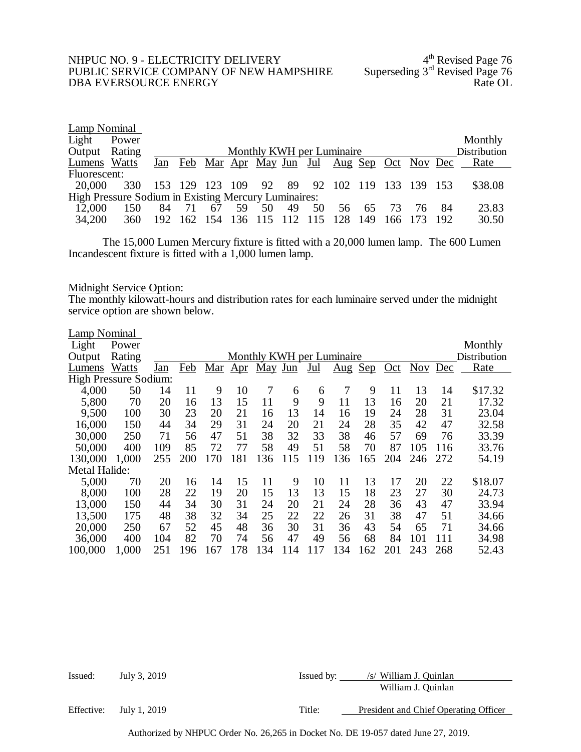# NHPUC NO. 9 - ELECTRICITY DELIVERY 4<sup>th</sup> Revised Page 76 PUBLIC SERVICE COMPANY OF NEW HAMPSHIRE Superseding 3<sup>rd</sup> Revised Page 76 PUBLIC SERVICE COMPANY OF NEW HAMPSHIRE Superseding 3rd Revised Page 76<br>DBA EVERSOURCE ENERGY DBA EVERSOURCE ENERGY

| Lamp Nominal                                         |       |     |                           |                 |    |                    |    |    |                                                        |     |         |    |     |              |
|------------------------------------------------------|-------|-----|---------------------------|-----------------|----|--------------------|----|----|--------------------------------------------------------|-----|---------|----|-----|--------------|
| Light                                                | Power |     |                           |                 |    |                    |    |    |                                                        |     |         |    |     | Monthly      |
| Output Rating                                        |       |     | Monthly KWH per Luminaire |                 |    |                    |    |    |                                                        |     |         |    |     | Distribution |
| Lumens Watts                                         |       |     |                           |                 |    |                    |    |    | <u>Jan Feb Mar Apr May Jun Jul Aug Sep Oct Nov Dec</u> |     |         |    |     | Rate         |
| Fluorescent:                                         |       |     |                           |                 |    |                    |    |    |                                                        |     |         |    |     |              |
| 20,000                                               | 330   |     |                           |                 |    | 153 129 123 109 92 |    |    | 89 92 102 119 133 139 153                              |     |         |    |     | \$38.08      |
| High Pressure Sodium in Existing Mercury Luminaires: |       |     |                           |                 |    |                    |    |    |                                                        |     |         |    |     |              |
| 12,000                                               | 150   | 84  | 71                        | 67              | 59 | 50                 | 49 | 50 | 56                                                     | -65 | 73      | 76 | -84 | 23.83        |
| 34,200                                               | 360   | 192 |                           | 162 154 136 115 |    |                    |    |    | 128                                                    | 149 | 166 173 |    | 192 | 30.50        |

The 15,000 Lumen Mercury fixture is fitted with a 20,000 lumen lamp. The 600 Lumen Incandescent fixture is fitted with a 1,000 lumen lamp.

# Midnight Service Option:

The monthly kilowatt-hours and distribution rates for each luminaire served under the midnight service option are shown below.

| Lamp Nominal                 |        |     |     |     |              |                           |     |       |                                 |            |     |     |         |              |
|------------------------------|--------|-----|-----|-----|--------------|---------------------------|-----|-------|---------------------------------|------------|-----|-----|---------|--------------|
| Light                        | Power  |     |     |     |              |                           |     |       |                                 |            |     |     |         | Monthly      |
| Output                       | Rating |     |     |     |              | Monthly KWH per Luminaire |     |       |                                 |            |     |     |         | Distribution |
| Lumens                       | Watts  | Jan | Feb | Mar | $_{\rm Apr}$ | <u>May Jun</u>            |     | $Jul$ | $\frac{\text{Aug}}{\text{Aug}}$ | <u>Sep</u> | Oct |     | Nov Dec | Rate         |
| <b>High Pressure Sodium:</b> |        |     |     |     |              |                           |     |       |                                 |            |     |     |         |              |
| 4,000                        | 50     | 14  | 11  | 9   | 10           | 7                         | 6   | 6     | 7                               | 9          | 11  | 13  | 14      | \$17.32      |
| 5,800                        | 70     | 20  | 16  | 13  | 15           | 11                        | 9   | 9     | 11                              | 13         | 16  | 20  | 21      | 17.32        |
| 9,500                        | 100    | 30  | 23  | 20  | 21           | 16                        | 13  | 14    | 16                              | 19         | 24  | 28  | 31      | 23.04        |
| 16,000                       | 150    | 44  | 34  | 29  | 31           | 24                        | 20  | 21    | 24                              | 28         | 35  | 42  | 47      | 32.58        |
| 30,000                       | 250    | 71  | 56  | 47  | 51           | 38                        | 32  | 33    | 38                              | 46         | 57  | 69  | 76      | 33.39        |
| 50,000                       | 400    | 109 | 85  | 72  | 77           | 58                        | 49  | 51    | 58                              | 70         | 87  | 105 | 116     | 33.76        |
| 130,000                      | 1,000  | 255 | 200 | 170 | 181          | 136                       | 115 | 119   | 136                             | .65        | 204 | 246 | 272     | 54.19        |
| <b>Metal Halide:</b>         |        |     |     |     |              |                           |     |       |                                 |            |     |     |         |              |
| 5,000                        | 70     | 20  | 16  | 14  | 15           | 11                        | 9   | 10    | 11                              | 13         | 17  | 20  | 22      | \$18.07      |
| 8,000                        | 100    | 28  | 22  | 19  | 20           | 15                        | 13  | 13    | 15                              | 18         | 23  | 27  | 30      | 24.73        |
| 13,000                       | 150    | 44  | 34  | 30  | 31           | 24                        | 20  | 21    | 24                              | 28         | 36  | 43  | 47      | 33.94        |
| 13,500                       | 175    | 48  | 38  | 32  | 34           | 25                        | 22  | 22    | 26                              | 31         | 38  | 47  | 51      | 34.66        |
| 20,000                       | 250    | 67  | 52  | 45  | 48           | 36                        | 30  | 31    | 36                              | 43         | 54  | 65  | 71      | 34.66        |
| 36,000                       | 400    | 104 | 82  | 70  | 74           | 56                        | 47  | 49    | 56                              | 68         | 84  | 101 | 111     | 34.98        |
| 100,000                      | 1,000  | 251 | 196 | 167 | 178          | 134                       | 114 | 117   | 134                             | 162        | 201 | 243 | 268     | 52.43        |

| Issued:    | July 3, 2019 | Issued by: | /s/ William J. Quinlan                |
|------------|--------------|------------|---------------------------------------|
|            |              |            | William J. Quinlan                    |
| Effective: | July 1, 2019 | Title:     | President and Chief Operating Officer |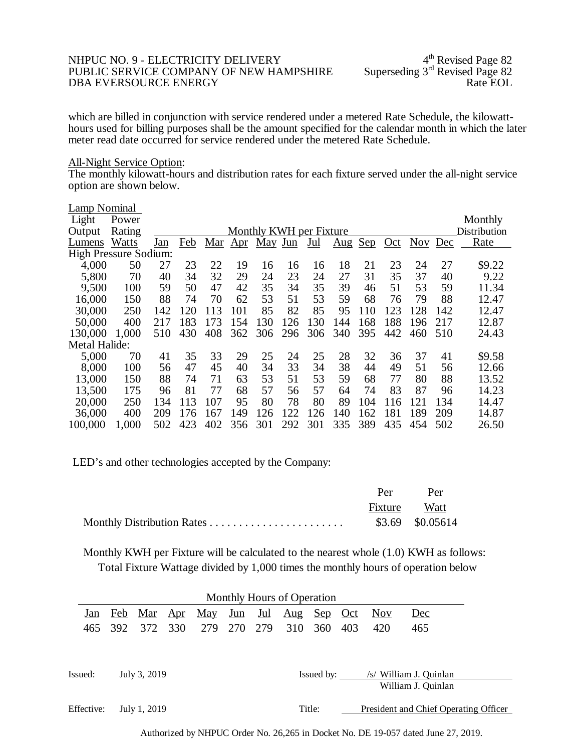### NHPUC NO. 9 - ELECTRICITY DELIVERY<br>PUBLIC SERVICE COMPANY OF NEW HAMPSHIRE Superseding 3<sup>rd</sup> Revised Page 82 PUBLIC SERVICE COMPANY OF NEW HAMPSHIRE Superseding 3<sup>rd</sup> Revised Page 82<br>DBA EVERSOURCE ENERGY Rate EOL DBA EVERSOURCE ENERGY

which are billed in conjunction with service rendered under a metered Rate Schedule, the kilowatt-<br>hours used for billing purposes shall be the amount specified for the calendar month in which the later meter read date occurred for service rendered under the metered Rate Schedule.

#### All-Night Service Option:

The monthly kilowatt-hours and distribution rates for each fixture served under the all-night service option are shown below.

| <b>Lamp Nominal</b>          |        |            |     |     |              |                         |     |       |                         |     |     |            |     |              |
|------------------------------|--------|------------|-----|-----|--------------|-------------------------|-----|-------|-------------------------|-----|-----|------------|-----|--------------|
| Light                        | Power  |            |     |     |              |                         |     |       |                         |     |     |            |     | Monthly      |
| Output                       | Rating |            |     |     |              | Monthly KWH per Fixture |     |       |                         |     |     |            |     | Distribution |
| Lumens                       | Watts  | <u>Jan</u> | Feb | Mar | $_{\rm Apr}$ | May Jun                 |     | $Jul$ | $\overline{\text{Aug}}$ | Sep | Oct | <b>Nov</b> | Dec | Rate         |
| <b>High Pressure Sodium:</b> |        |            |     |     |              |                         |     |       |                         |     |     |            |     |              |
| 4,000                        | 50     | 27         | 23  | 22  | 19           | 16                      | 16  | 16    | 18                      | 21  | 23  | 24         | 27  | \$9.22       |
| 5,800                        | 70     | 40         | 34  | 32  | 29           | 24                      | 23  | 24    | 27                      | 31  | 35  | 37         | 40  | 9.22         |
| 9,500                        | 100    | 59         | 50  | 47  | 42           | 35                      | 34  | 35    | 39                      | 46  | 51  | 53         | 59  | 11.34        |
| 16,000                       | 150    | 88         | 74  | 70  | 62           | 53                      | 51  | 53    | 59                      | 68  | 76  | 79         | 88  | 12.47        |
| 30,000                       | 250    | 142        | 120 | 113 | 101          | 85                      | 82  | 85    | 95                      | 110 | 123 | 128        | 142 | 12.47        |
| 50,000                       | 400    | 217        | 183 | 173 | 154          | 130                     | 126 | 130   | 144                     | 168 | 188 | 196        | 217 | 12.87        |
| 130,000                      | 1,000  | 510        | 430 | 408 | 362          | 306                     | 296 | 306   | 340                     | 395 | 442 | 460        | 510 | 24.43        |
| Metal Halide:                |        |            |     |     |              |                         |     |       |                         |     |     |            |     |              |
| 5,000                        | 70     | 41         | 35  | 33  | 29           | 25                      | 24  | 25    | 28                      | 32  | 36  | 37         | 41  | \$9.58       |
| 8,000                        | 100    | 56         | 47  | 45  | 40           | 34                      | 33  | 34    | 38                      | 44  | 49  | 51         | 56  | 12.66        |
| 13,000                       | 150    | 88         | 74  | 71  | 63           | 53                      | 51  | 53    | 59                      | 68  | 77  | 80         | 88  | 13.52        |
| 13,500                       | 175    | 96         | 81  | 77  | 68           | 57                      | 56  | 57    | 64                      | 74  | 83  | 87         | 96  | 14.23        |
| 20,000                       | 250    | 134        | 113 | 107 | 95           | 80                      | 78  | 80    | 89                      | 104 | 116 | 121        | 134 | 14.47        |
| 36,000                       | 400    | 209        | 176 | 167 | 149          | 126                     | 122 | 126   | 140                     | 162 | 181 | 189        | 209 | 14.87        |
| 100,000                      | 1,000  | 502        | 423 | 402 | 356          | 301                     | 292 | 301   | 335                     | 389 | 435 | 454        | 502 | 26.50        |

LED's and other technologies accepted by the Company:

|              | Per Per          |
|--------------|------------------|
| Fixture Watt |                  |
|              | \$3.69 \$0.05614 |

Monthly KWH per Fixture will be calculated to the nearest whole (1.0) KWH as follows: Total Fixture Wattage divided by 1,000 times the monthly hours of operation below

| Monthly Hours of Operation |     |              |            |                |         |     |            |                |     |                         |                                       |  |
|----------------------------|-----|--------------|------------|----------------|---------|-----|------------|----------------|-----|-------------------------|---------------------------------------|--|
| Jan                        | Feb | <u>Mar</u>   | <u>Apr</u> | <u>May Jun</u> |         | Jul | <u>Aug</u> | <u>Sep</u> Oct |     | $\overline{\text{Nov}}$ | Dec                                   |  |
| 465                        | 392 | 372          | 330        | 279            | 270 279 |     | 310        | 360            | 403 | 420                     | 465                                   |  |
|                            |     |              |            |                |         |     |            |                |     |                         |                                       |  |
|                            |     |              |            |                |         |     |            |                |     |                         |                                       |  |
| Issued:                    |     | July 3, 2019 |            |                |         |     |            | Issued by:     |     |                         | /s/ William J. Quinlan                |  |
|                            |     |              |            |                |         |     |            |                |     |                         | William J. Quinlan                    |  |
|                            |     |              |            |                |         |     |            |                |     |                         |                                       |  |
| Effective:                 |     | July 1, 2019 |            |                |         |     |            | Title:         |     |                         | President and Chief Operating Officer |  |